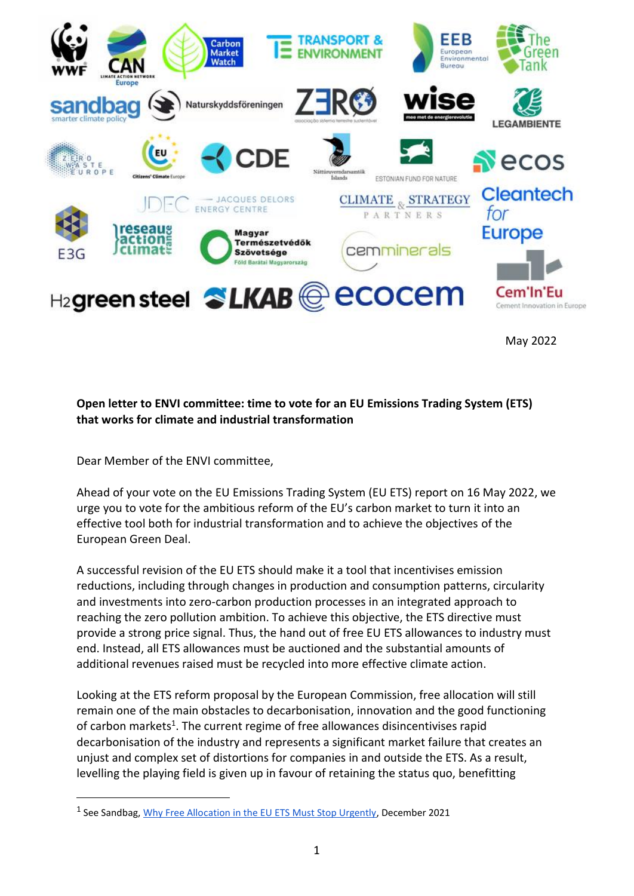

May 2022

### **Open letter to ENVI committee: time to vote for an EU Emissions Trading System (ETS) that works for climate and industrial transformation**

Dear Member of the ENVI committee,

-

Ahead of your vote on the EU Emissions Trading System (EU ETS) report on 16 May 2022, we urge you to vote for the ambitious reform of the EU's carbon market to turn it into an effective tool both for industrial transformation and to achieve the objectives of the European Green Deal.

A successful revision of the EU ETS should make it a tool that incentivises emission reductions, including through changes in production and consumption patterns, circularity and investments into zero-carbon production processes in an integrated approach to reaching the zero pollution ambition. To achieve this objective, the ETS directive must provide a strong price signal. Thus, the hand out of free EU ETS allowances to industry must end. Instead, all ETS allowances must be auctioned and the substantial amounts of additional revenues raised must be recycled into more effective climate action.

Looking at the ETS reform proposal by the European Commission, free allocation will still remain one of the main obstacles to decarbonisation, innovation and the good functioning of carbon markets<sup>1</sup>. The current regime of free allowances disincentivises rapid decarbonisation of the industry and represents a significant market failure that creates an unjust and complex set of distortions for companies in and outside the ETS. As a result, levelling the playing field is given up in favour of retaining the status quo, benefitting

<sup>&</sup>lt;sup>1</sup> See Sandbag, *Why Free Allocation in the EU ETS Must Stop Urgently*, December 2021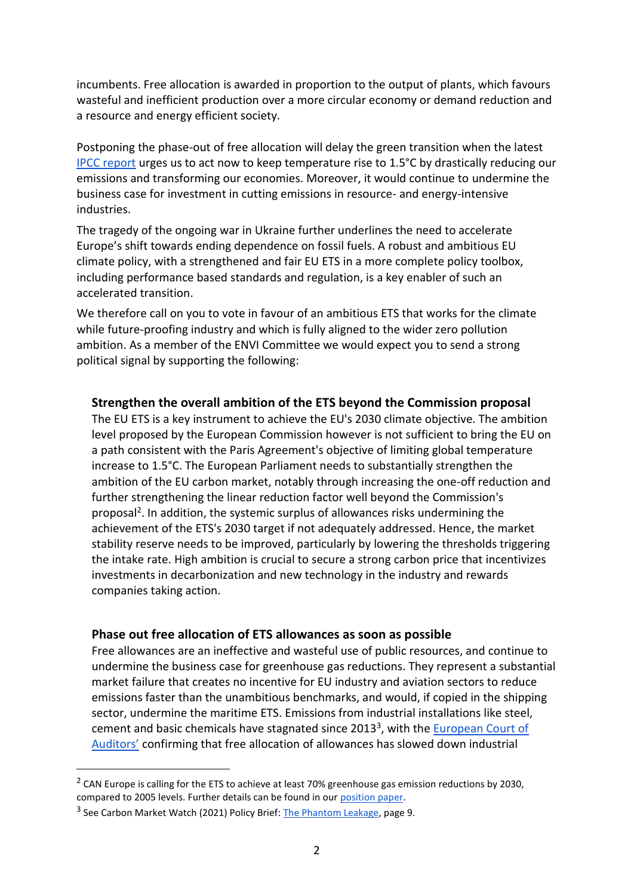incumbents. Free allocation is awarded in proportion to the output of plants, which favours wasteful and inefficient production over a more circular economy or demand reduction and a resource and energy efficient society.

Postponing the phase-out of free allocation will delay the green transition when the latest [IPCC report](https://www.ipcc.ch/report/ar6/wg3/) urges us to act now to keep temperature rise to 1.5°C by drastically reducing our emissions and transforming our economies. Moreover, it would continue to undermine the business case for investment in cutting emissions in resource- and energy-intensive industries.

The tragedy of the ongoing war in Ukraine further underlines the need to accelerate Europe's shift towards ending dependence on fossil fuels. A robust and ambitious EU climate policy, with a strengthened and fair EU ETS in a more complete policy toolbox, including performance based standards and regulation, is a key enabler of such an accelerated transition.

We therefore call on you to vote in favour of an ambitious ETS that works for the climate while future-proofing industry and which is fully aligned to the wider zero pollution ambition. As a member of the ENVI Committee we would expect you to send a strong political signal by supporting the following:

#### **Strengthen the overall ambition of the ETS beyond the Commission proposal**

The EU ETS is a key instrument to achieve the EU's 2030 climate objective. The ambition level proposed by the European Commission however is not sufficient to bring the EU on a path consistent with the Paris Agreement's objective of limiting global temperature increase to 1.5°C. The European Parliament needs to substantially strengthen the ambition of the EU carbon market, notably through increasing the one-off reduction and further strengthening the linear reduction factor well beyond the Commission's proposal<sup>2</sup>. In addition, the systemic surplus of allowances risks undermining the achievement of the ETS's 2030 target if not adequately addressed. Hence, the market stability reserve needs to be improved, particularly by lowering the thresholds triggering the intake rate. High ambition is crucial to secure a strong carbon price that incentivizes investments in decarbonization and new technology in the industry and rewards companies taking action.

#### **Phase out free allocation of ETS allowances as soon as possible**

Free allowances are an ineffective and wasteful use of public resources, and continue to undermine the business case for greenhouse gas reductions. They represent a substantial market failure that creates no incentive for EU industry and aviation sectors to reduce emissions faster than the unambitious benchmarks, and would, if copied in the shipping sector, undermine the maritime ETS. Emissions from industrial installations like steel, cement and basic chemicals have stagnated since 2013<sup>3</sup>, with the **European Court of** [Auditors'](https://www.eca.europa.eu/Lists/ECADocuments/SR20_18/SR_EU-ETS_EN.pdf) confirming that free allocation of allowances has slowed down industrial

-

 $2$  CAN Europe is calling for the ETS to achieve at least 70% greenhouse gas emission reductions by 2030, compared to 2005 levels. Further details can be found in our [position paper.](https://caneurope.org/emissions-trading-system-ets-can-europe-position/)

<sup>&</sup>lt;sup>3</sup> See Carbon Market Watch (2021) Policy Brief: [The Phantom Leakage,](https://carbonmarketwatch.org/wp-content/uploads/2021/06/Phantom_leakage_WEB.pdf) page 9.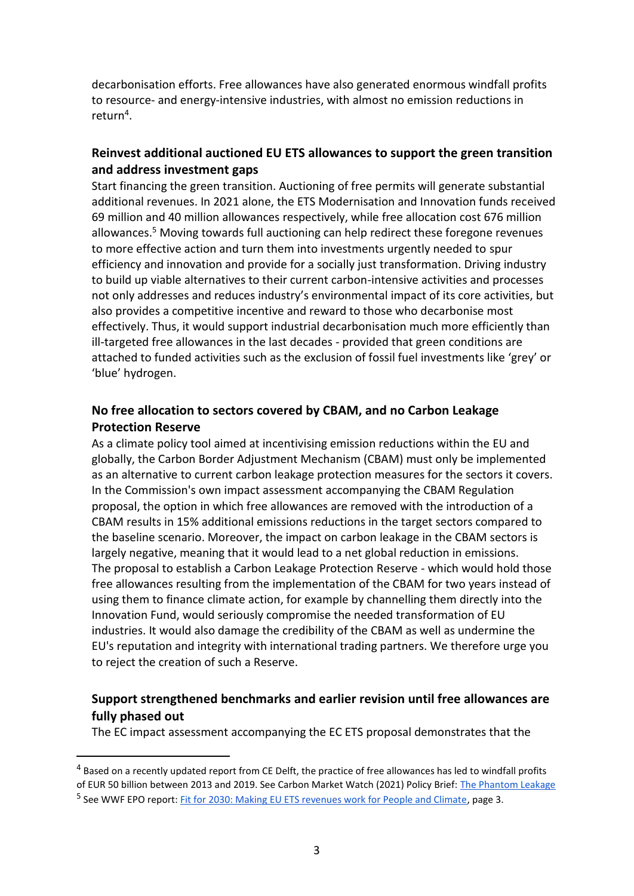decarbonisation efforts. Free allowances have also generated enormous windfall profits to resource- and energy-intensive industries, with almost no emission reductions in return<sup>4</sup>.

# **Reinvest additional auctioned EU ETS allowances to support the green transition and address investment gaps**

Start financing the green transition. Auctioning of free permits will generate substantial additional revenues. In 2021 alone, the ETS Modernisation and Innovation funds received 69 million and 40 million allowances respectively, while free allocation cost 676 million allowances.<sup>5</sup> Moving towards full auctioning can help redirect these foregone revenues to more effective action and turn them into investments urgently needed to spur efficiency and innovation and provide for a socially just transformation. Driving industry to build up viable alternatives to their current carbon-intensive activities and processes not only addresses and reduces industry's environmental impact of its core activities, but also provides a competitive incentive and reward to those who decarbonise most effectively. Thus, it would support industrial decarbonisation much more efficiently than ill-targeted free allowances in the last decades - provided that green conditions are attached to funded activities such as the exclusion of fossil fuel investments like 'grey' or 'blue' hydrogen.

# **No free allocation to sectors covered by CBAM, and no Carbon Leakage Protection Reserve**

As a climate policy tool aimed at incentivising emission reductions within the EU and globally, the Carbon Border Adjustment Mechanism (CBAM) must only be implemented as an alternative to current carbon leakage protection measures for the sectors it covers. In the Commission's own impact assessment accompanying the CBAM Regulation proposal, the option in which free allowances are removed with the introduction of a CBAM results in 15% additional emissions reductions in the target sectors compared to the baseline scenario. Moreover, the impact on carbon leakage in the CBAM sectors is largely negative, meaning that it would lead to a net global reduction in emissions. The proposal to establish a Carbon Leakage Protection Reserve - which would hold those free allowances resulting from the implementation of the CBAM for two years instead of using them to finance climate action, for example by channelling them directly into the Innovation Fund, would seriously compromise the needed transformation of EU industries. It would also damage the credibility of the CBAM as well as undermine the EU's reputation and integrity with international trading partners. We therefore urge you to reject the creation of such a Reserve.

# **Support strengthened benchmarks and earlier revision until free allowances are fully phased out**

The EC impact assessment accompanying the EC ETS proposal demonstrates that the

-

<sup>&</sup>lt;sup>4</sup> Based on a recently updated report from CE Delft, the practice of free allowances has led to windfall profits of EUR 50 billion between 2013 and 2019. See Carbon Market Watch (2021) Policy Brief: [The Phantom Leakage](https://carbonmarketwatch.org/publications/the-phantom-leakage/) <sup>5</sup> See WWF EPO report[: Fit for 2030: Making EU ETS revenues work for People and Climate,](https://wwfeu.awsassets.panda.org/downloads/making_eu_ets_revenues_work_for_people_and_climate_summary_report_june_2021__2_.pdf) page 3.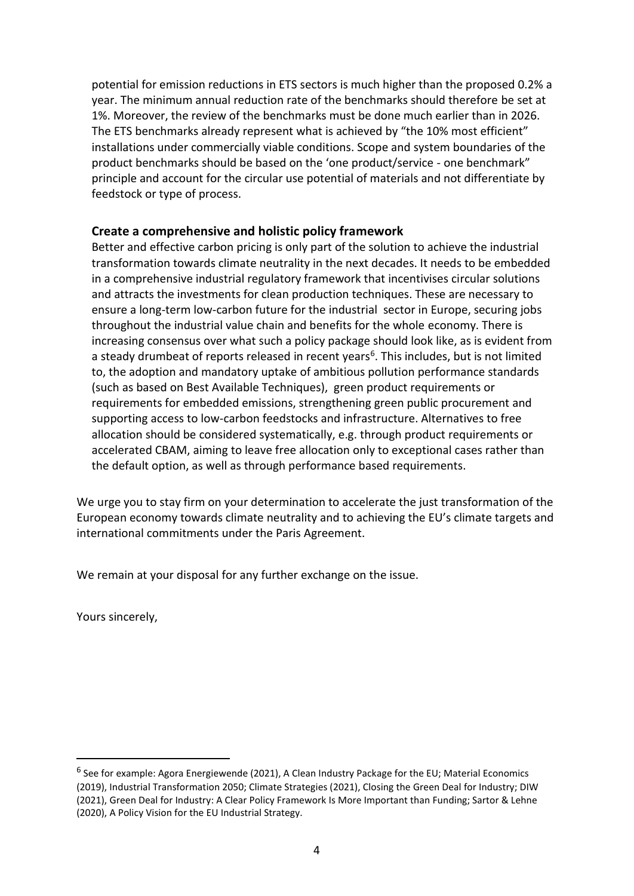potential for emission reductions in ETS sectors is much higher than the proposed 0.2% a year. The minimum annual reduction rate of the benchmarks should therefore be set at 1%. Moreover, the review of the benchmarks must be done much earlier than in 2026. The ETS benchmarks already represent what is achieved by "the 10% most efficient" installations under commercially viable conditions. Scope and system boundaries of the product benchmarks should be based on the 'one product/service - one benchmark" principle and account for the circular use potential of materials and not differentiate by feedstock or type of process.

### **Create a comprehensive and holistic policy framework**

Better and effective carbon pricing is only part of the solution to achieve the industrial transformation towards climate neutrality in the next decades. It needs to be embedded in a comprehensive industrial regulatory framework that incentivises circular solutions and attracts the investments for clean production techniques. These are necessary to ensure a long-term low-carbon future for the industrial sector in Europe, securing jobs throughout the industrial value chain and benefits for the whole economy. There is increasing consensus over what such a policy package should look like, as is evident from a steady drumbeat of reports released in recent years<sup>6</sup>. This includes, but is not limited to, the adoption and mandatory uptake of ambitious pollution performance standards (such as based on Best Available Techniques), green product requirements or requirements for embedded emissions, strengthening green public procurement and supporting access to low-carbon feedstocks and infrastructure. Alternatives to free allocation should be considered systematically, e.g. through product requirements or accelerated CBAM, aiming to leave free allocation only to exceptional cases rather than the default option, as well as through performance based requirements.

We urge you to stay firm on your determination to accelerate the just transformation of the European economy towards climate neutrality and to achieving the EU's climate targets and international commitments under the Paris Agreement.

We remain at your disposal for any further exchange on the issue.

Yours sincerely,

-

<sup>&</sup>lt;sup>6</sup> See for example: Agora Energiewende (2021), A Clean Industry Package for the EU; Material Economics (2019), Industrial Transformation 2050; Climate Strategies (2021), Closing the Green Deal for Industry; DIW (2021), Green Deal for Industry: A Clear Policy Framework Is More Important than Funding; Sartor & Lehne (2020), A Policy Vision for the EU Industrial Strategy.